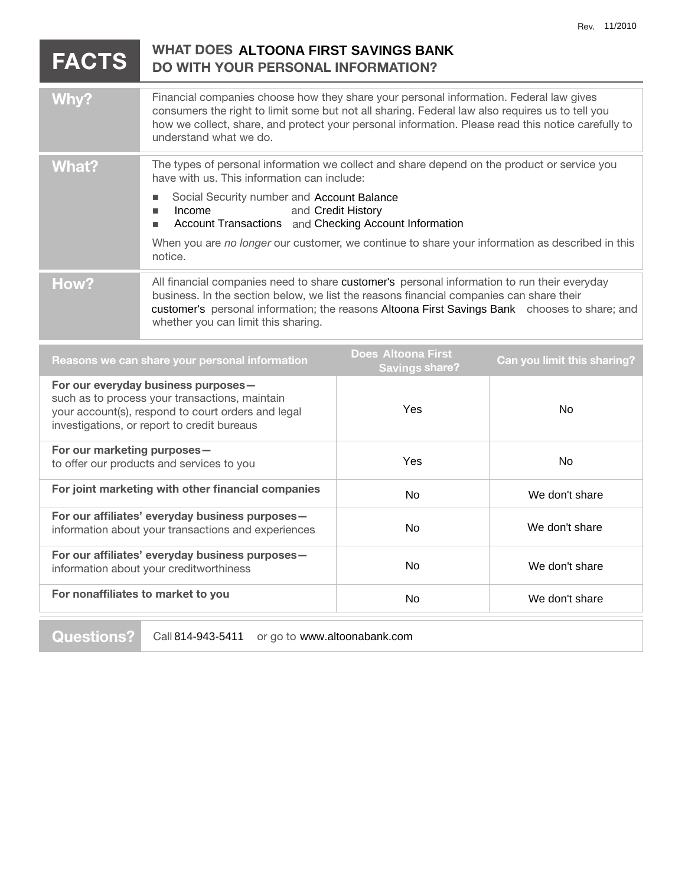| <b>FACTS</b>                                                                                                                                                                               | <b>WHAT DOES ALTOONA FIRST SAVINGS BANK</b><br><b>DO WITH YOUR PERSONAL INFORMATION?</b>                                                                                                                                                                                                                                                                                                                       |              |                |
|--------------------------------------------------------------------------------------------------------------------------------------------------------------------------------------------|----------------------------------------------------------------------------------------------------------------------------------------------------------------------------------------------------------------------------------------------------------------------------------------------------------------------------------------------------------------------------------------------------------------|--------------|----------------|
| Why?                                                                                                                                                                                       | Financial companies choose how they share your personal information. Federal law gives<br>consumers the right to limit some but not all sharing. Federal law also requires us to tell you<br>how we collect, share, and protect your personal information. Please read this notice carefully to<br>understand what we do.                                                                                      |              |                |
| <b>What?</b>                                                                                                                                                                               | The types of personal information we collect and share depend on the product or service you<br>have with us. This information can include:<br>Social Security number and Account Balance<br>п<br>Income<br>and Credit History<br>п<br>Account Transactions and Checking Account Information<br>п<br>When you are no longer our customer, we continue to share your information as described in this<br>notice. |              |                |
| How?                                                                                                                                                                                       | All financial companies need to share customer's personal information to run their everyday<br>business. In the section below, we list the reasons financial companies can share their<br>customer's personal information; the reasons Altoona First Savings Bank chooses to share; and<br>whether you can limit this sharing.                                                                                 |              |                |
| <b>Does Altoona First</b><br>Reasons we can share your personal information<br>Can you limit this sharing?<br><b>Savings share?</b>                                                        |                                                                                                                                                                                                                                                                                                                                                                                                                |              |                |
| For our everyday business purposes-<br>such as to process your transactions, maintain<br>your account(s), respond to court orders and legal<br>investigations, or report to credit bureaus |                                                                                                                                                                                                                                                                                                                                                                                                                | Yes          | No             |
| For our marketing purposes-<br>to offer our products and services to you                                                                                                                   |                                                                                                                                                                                                                                                                                                                                                                                                                | Yes          | No             |
| For joint marketing with other financial companies                                                                                                                                         |                                                                                                                                                                                                                                                                                                                                                                                                                | $N_{\Omega}$ | We don't chara |

| For joint marketing with other financial companies                                                     | No. | We don't share |
|--------------------------------------------------------------------------------------------------------|-----|----------------|
| For our affiliates' everyday business purposes-<br>information about your transactions and experiences | No. | We don't share |
| For our affiliates' everyday business purposes-<br>information about your creditworthiness             | No. | We don't share |
| For nonaffiliates to market to you                                                                     | No. | We don't share |
|                                                                                                        |     |                |

**Questions?** Call 814-943-5411 or go to www.altoonabank.com